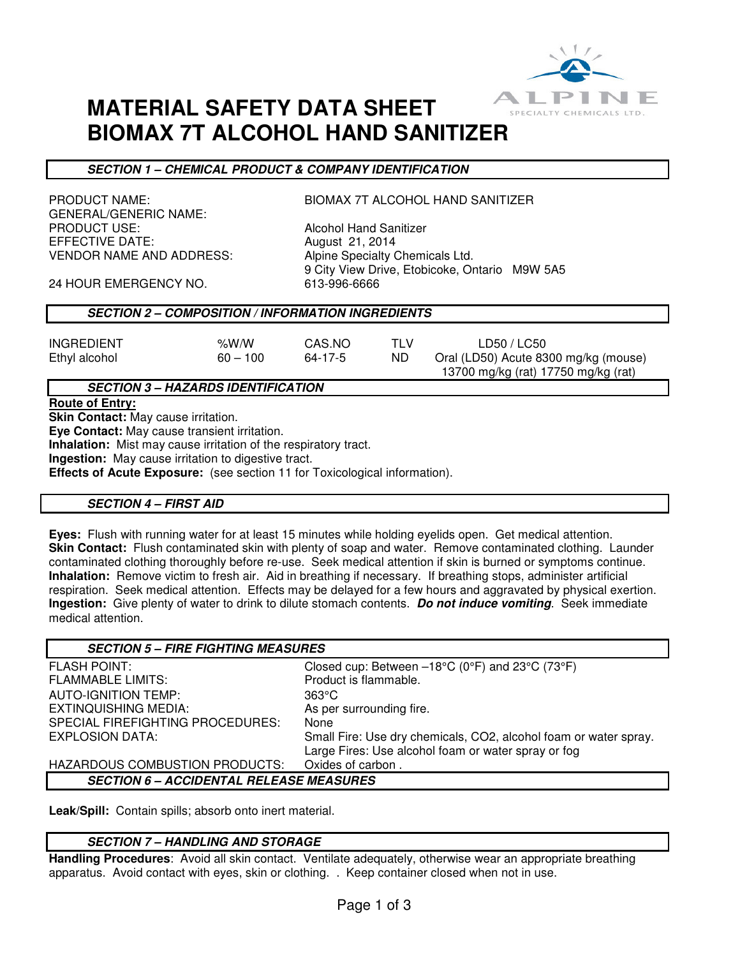

13700 mg/kg (rat) 17750 mg/kg (rat)

# **MATERIAL SAFETY DATA SHEET BIOMAX 7T ALCOHOL HAND SANITIZER**

# **SECTION 1 – CHEMICAL PRODUCT & COMPANY IDENTIFICATION**

GENERAL/GENERIC NAME:<br>PRODUCT USE: EFFECTIVE DATE: August 21, 2014 VENDOR NAME AND ADDRESS: Alpine Specialty Chemicals Ltd.

PRODUCT NAME: BIOMAX 7T ALCOHOL HAND SANITIZER

**Alcohol Hand Sanitizer** 9 City View Drive, Etobicoke, Ontario M9W 5A5

24 HOUR EMERGENCY NO. 613-996-6666

## **SECTION 2 – COMPOSITION / INFORMATION INGREDIENTS**

| <b>INGREDIENT</b> | %W/W       | CAS.NO  |     | LD50 / LC50                          |
|-------------------|------------|---------|-----|--------------------------------------|
| Ethyl alcohol     | $60 - 100$ | 64-17-5 | ND. | Oral (LD50) Acute 8300 mg/kg (mouse) |

## **SECTION 3 – HAZARDS IDENTIFICATION**

#### **Route of Entry:**

**Skin Contact:** May cause irritation.

**Eye Contact:** May cause transient irritation.

**Inhalation:** Mist may cause irritation of the respiratory tract. **Ingestion:** May cause irritation to digestive tract.

**Effects of Acute Exposure:** (see section 11 for Toxicological information).

#### **SECTION 4 – FIRST AID**

**Eyes:** Flush with running water for at least 15 minutes while holding eyelids open. Get medical attention. **Skin Contact:** Flush contaminated skin with plenty of soap and water. Remove contaminated clothing. Launder contaminated clothing thoroughly before re-use. Seek medical attention if skin is burned or symptoms continue. **Inhalation:** Remove victim to fresh air. Aid in breathing if necessary. If breathing stops, administer artificial respiration. Seek medical attention. Effects may be delayed for a few hours and aggravated by physical exertion. **Ingestion:** Give plenty of water to drink to dilute stomach contents. **Do not induce vomiting**. Seek immediate medical attention.

| <b>SECTION 5 - FIRE FIGHTING MEASURES</b>      |                                                                  |  |  |  |
|------------------------------------------------|------------------------------------------------------------------|--|--|--|
| <b>FLASH POINT:</b>                            | Closed cup: Between $-18^{\circ}$ C (0°F) and 23°C (73°F)        |  |  |  |
| <b>FLAMMABLE LIMITS:</b>                       | Product is flammable.                                            |  |  |  |
| <b>AUTO-IGNITION TEMP:</b>                     | $363^\circ$ C                                                    |  |  |  |
| EXTINQUISHING MEDIA:                           | As per surrounding fire.                                         |  |  |  |
| SPECIAL FIREFIGHTING PROCEDURES:               | None                                                             |  |  |  |
| EXPLOSION DATA:                                | Small Fire: Use dry chemicals, CO2, alcohol foam or water spray. |  |  |  |
|                                                | Large Fires: Use alcohol foam or water spray or fog              |  |  |  |
| HAZARDOUS COMBUSTION PRODUCTS:                 | Oxides of carbon.                                                |  |  |  |
| <b>SECTION 6 - ACCIDENTAL RELEASE MEASURES</b> |                                                                  |  |  |  |

**Leak/Spill:** Contain spills; absorb onto inert material.

## **SECTION 7 – HANDLING AND STORAGE**

**Handling Procedures**: Avoid all skin contact. Ventilate adequately, otherwise wear an appropriate breathing apparatus. Avoid contact with eyes, skin or clothing. . Keep container closed when not in use.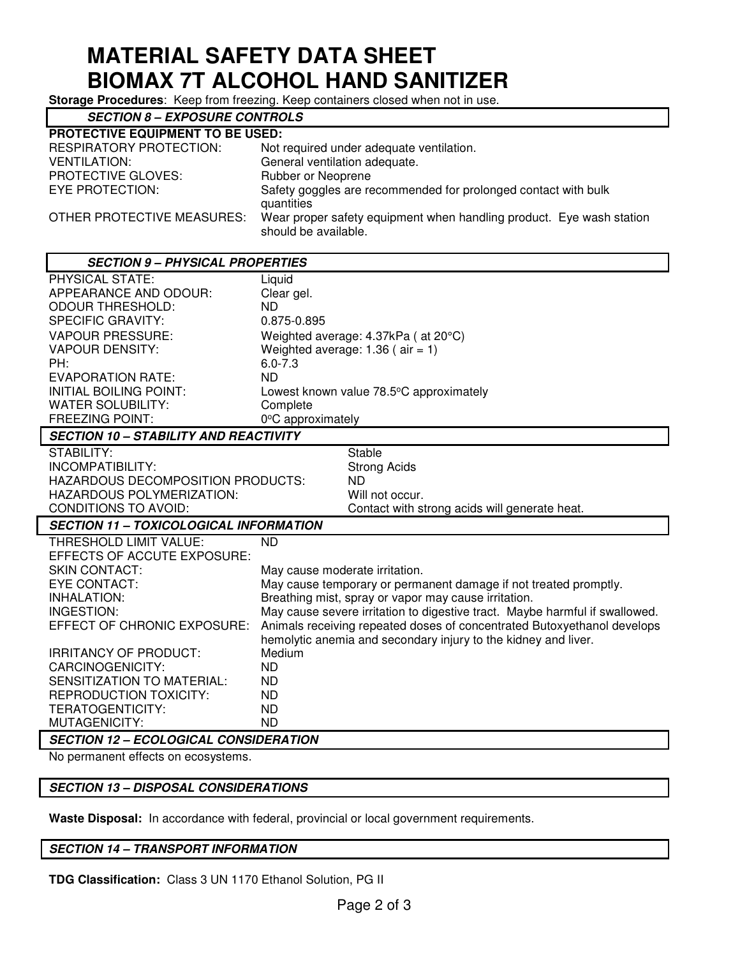# **MATERIAL SAFETY DATA SHEET BIOMAX 7T ALCOHOL HAND SANITIZER**

**Storage Procedures**: Keep from freezing. Keep containers closed when not in use.

| <b>SECTION 8 - EXPOSURE CONTROLS</b>    |                                                                                              |  |  |  |  |
|-----------------------------------------|----------------------------------------------------------------------------------------------|--|--|--|--|
| <b>PROTECTIVE EQUIPMENT TO BE USED:</b> |                                                                                              |  |  |  |  |
| <b>RESPIRATORY PROTECTION:</b>          | Not required under adequate ventilation.                                                     |  |  |  |  |
| <b>VENTILATION:</b>                     | General ventilation adequate.                                                                |  |  |  |  |
| <b>PROTECTIVE GLOVES:</b>               | Rubber or Neoprene                                                                           |  |  |  |  |
| EYE PROTECTION:                         | Safety goggles are recommended for prolonged contact with bulk<br>quantities                 |  |  |  |  |
| OTHER PROTECTIVE MEASURES:              | Wear proper safety equipment when handling product. Eye wash station<br>should be available. |  |  |  |  |

#### **SECTION 9 – PHYSICAL PROPERTIES**  PHYSICAL STATE: Liquid APPEARANCE AND ODOUR: Clear gel. ODOUR THRESHOLD: ND SPECIFIC GRAVITY: 0.875-0.895 VAPOUR PRESSURE: Weighted average: 4.37kPa ( at 20°C) VAPOUR DENSITY: Weighted average: 1.36 ( air = 1) PH: 6.0-7.3 EVAPORATION RATE: ND Lowest known value 78.5°C approximately WATER SOLUBILITY: Complete FREEZING POINT: 0°C approximately **SECTION 10 – STABILITY AND REACTIVITY**  STABILITY: STABILITY: INCOMPATIBILITY: Strong Acids HAZARDOUS DECOMPOSITION PRODUCTS: ND HAZARDOUS POLYMERIZATION: Will not occur. CONDITIONS TO AVOID: Contact with strong acids will generate heat. **SECTION 11 – TOXICOLOGICAL INFORMATION**  THRESHOLD LIMIT VALUE: ND EFFECTS OF ACCUTE EXPOSURE: SKIN CONTACT: May cause moderate irritation. EYE CONTACT: The May cause temporary or permanent damage if not treated promptly.<br>INHALATION: Exercise of the Breathing mist, spray or vapor may cause irritation. Breathing mist, spray or vapor may cause irritation. INGESTION: May cause severe irritation to digestive tract. Maybe harmful if swallowed. EFFECT OF CHRONIC EXPOSURE: Animals receiving repeated doses of concentrated Butoxyethanol develops hemolytic anemia and secondary injury to the kidney and liver. IRRITANCY OF PRODUCT: Medium CARCINOGENICITY: ND SENSITIZATION TO MATERIAL: REPRODUCTION TOXICITY: ND TERATOGENTICITY: ND MUTAGENICITY: ND

## **SECTION 12 – ECOLOGICAL CONSIDERATION**

No permanent effects on ecosystems.

## **SECTION 13 – DISPOSAL CONSIDERATIONS**

**Waste Disposal:** In accordance with federal, provincial or local government requirements.

#### **SECTION 14 – TRANSPORT INFORMATION**

**TDG Classification:** Class 3 UN 1170 Ethanol Solution, PG II